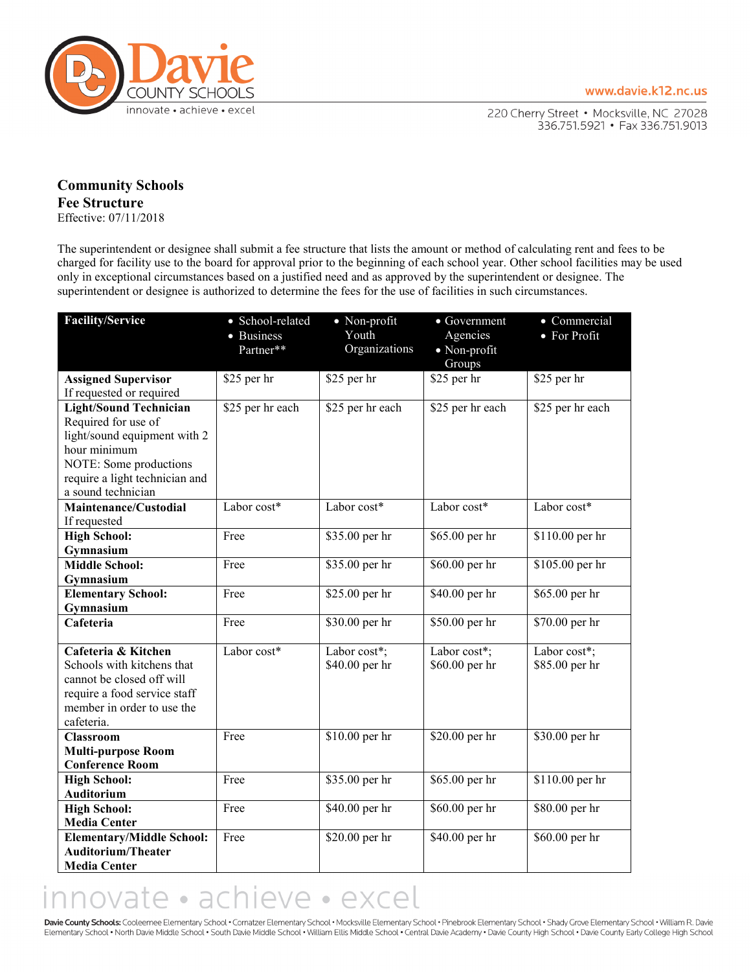

220 Cherry Street . Mocksville, NC 27028 336.751.5921 • Fax 336.751.9013

## **Community Schools Fee Structure** Effective: 07/11/2018

The superintendent or designee shall submit a fee structure that lists the amount or method of calculating rent and fees to be charged for facility use to the board for approval prior to the beginning of each school year. Other school facilities may be used only in exceptional circumstances based on a justified need and as approved by the superintendent or designee. The superintendent or designee is authorized to determine the fees for the use of facilities in such circumstances.

| <b>Facility/Service</b>                                    | • School-related<br>• Business | • Non-profit<br>Youth<br>Organizations | $\bullet$ Government<br>Agencies | • Commercial<br>• For Profit |
|------------------------------------------------------------|--------------------------------|----------------------------------------|----------------------------------|------------------------------|
|                                                            | Partner**                      |                                        | • Non-profit<br>Groups           |                              |
| <b>Assigned Supervisor</b>                                 | \$25 per hr                    | \$25 per hr                            | $$25$ per hr                     | \$25 per hr                  |
| If requested or required                                   |                                |                                        |                                  |                              |
| <b>Light/Sound Technician</b>                              | \$25 per hr each               | \$25 per hr each                       | \$25 per hr each                 | \$25 per hr each             |
| Required for use of                                        |                                |                                        |                                  |                              |
| light/sound equipment with 2                               |                                |                                        |                                  |                              |
| hour minimum                                               |                                |                                        |                                  |                              |
| NOTE: Some productions                                     |                                |                                        |                                  |                              |
| require a light technician and                             |                                |                                        |                                  |                              |
| a sound technician                                         |                                |                                        |                                  |                              |
| Maintenance/Custodial                                      | Labor cost*                    | Labor cost*                            | Labor cost*                      | Labor cost*                  |
| If requested                                               |                                |                                        |                                  |                              |
| <b>High School:</b>                                        | Free                           | \$35.00 per hr                         | $\overline{$65.00}$ per hr       | \$110.00 per hr              |
| Gymnasium                                                  |                                |                                        |                                  |                              |
| <b>Middle School:</b>                                      | Free                           | \$35.00 per hr                         | \$60.00 per hr                   | \$105.00 per hr              |
| Gymnasium                                                  |                                |                                        |                                  |                              |
| <b>Elementary School:</b>                                  | Free                           | \$25.00 per hr                         | \$40.00 per hr                   | \$65.00 per hr               |
| Gymnasium                                                  |                                |                                        |                                  |                              |
| Cafeteria                                                  | Free                           | \$30.00 per hr                         | \$50.00 per hr                   | \$70.00 per hr               |
| Cafeteria & Kitchen                                        | Labor cost*                    |                                        |                                  |                              |
| Schools with kitchens that                                 |                                | Labor cost*;                           | Labor cost*;                     | Labor cost*;                 |
|                                                            |                                | \$40.00 per hr                         | \$60.00 per hr                   | \$85.00 per hr               |
| cannot be closed off will                                  |                                |                                        |                                  |                              |
| require a food service staff<br>member in order to use the |                                |                                        |                                  |                              |
| cafeteria.                                                 |                                |                                        |                                  |                              |
| Classroom                                                  | Free                           | \$10.00 per hr                         | \$20.00 per hr                   | \$30.00 per hr               |
| <b>Multi-purpose Room</b>                                  |                                |                                        |                                  |                              |
| <b>Conference Room</b>                                     |                                |                                        |                                  |                              |
| <b>High School:</b>                                        | Free                           | \$35.00 per hr                         | \$65.00 per hr                   | \$110.00 per hr              |
| Auditorium                                                 |                                |                                        |                                  |                              |
| <b>High School:</b>                                        | Free                           | \$40.00 per hr                         | \$60.00 per hr                   | \$80.00 per hr               |
| <b>Media Center</b>                                        |                                |                                        |                                  |                              |
| <b>Elementary/Middle School:</b>                           | Free                           | \$20.00 per hr                         | \$40.00 per hr                   | \$60.00 per hr               |
| <b>Auditorium/Theater</b>                                  |                                |                                        |                                  |                              |
| <b>Media Center</b>                                        |                                |                                        |                                  |                              |

## innovate · achieve · excel

Davie County Schools: Cooleemee Elementary School . Cornatzer Elementary School . Mocksville Elementary School . Pinebrook Elementary School . Shady Grove Elementary School . William R. Davie Elementary School . North Davie Middle School . South Davie Middle School . William Ellis Middle School . Central Davie Academy . Davie County High School . Davie County Early College High School